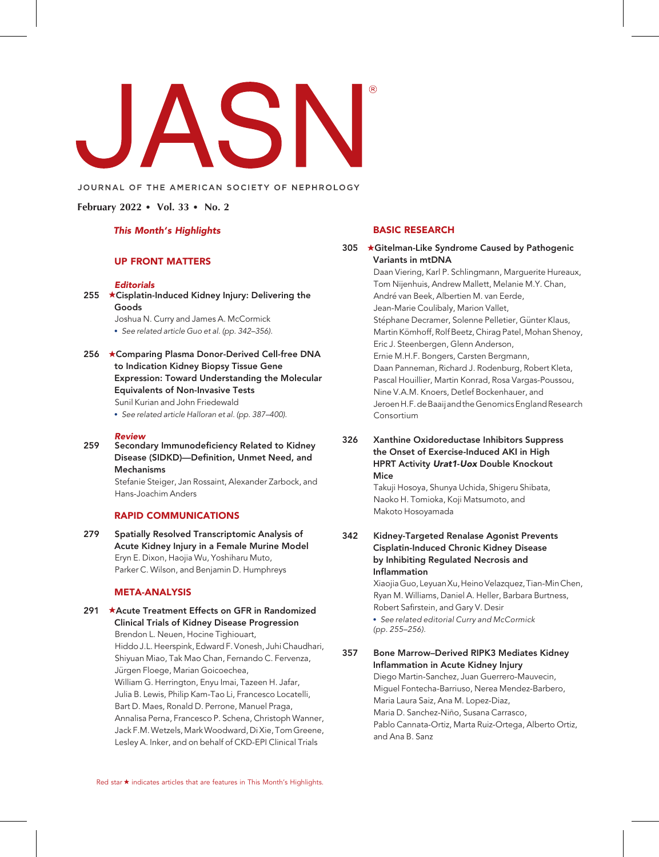#### JOURNAL OF THE AMERICAN SOCIETY OF NEPHROLOGY

February 2022 • Vol. 33 • No. 2

#### This Month's Highlights

# UP FRONT MATTERS

#### **Editorials**

255  $\star$ Cisplatin-Induced Kidney Injury: Delivering the Goods

Joshua N. Curry and James A. McCormick

- See related article Guo et al. (pp. 342–356).
- 256 ★Comparing Plasma Donor-Derived Cell-free DNA to Indication Kidney Biopsy Tissue Gene Expression: Toward Understanding the Molecular Equivalents of Non-Invasive Tests

Sunil Kurian and John Friedewald

See related article Halloran et al. (pp. 387–400).

#### Review

259 Secondary Immunodeficiency Related to Kidney Disease (SIDKD)—Definition, Unmet Need, and Mechanisms

> Stefanie Steiger, Jan Rossaint, Alexander Zarbock, and Hans-Joachim Anders

#### RAPID COMMUNICATIONS

279 Spatially Resolved Transcriptomic Analysis of Acute Kidney Injury in a Female Murine Model Eryn E. Dixon, Haojia Wu, Yoshiharu Muto, Parker C. Wilson, and Benjamin D. Humphreys

#### META-ANALYSIS

291 ★Acute Treatment Effects on GFR in Randomized Clinical Trials of Kidney Disease Progression Brendon L. Neuen, Hocine Tighiouart, Hiddo J.L. Heerspink, Edward F. Vonesh, Juhi Chaudhari, Shiyuan Miao, Tak Mao Chan, Fernando C. Fervenza, Jürgen Floege, Marian Goicoechea, William G. Herrington, Enyu Imai, Tazeen H. Jafar, Julia B. Lewis, Philip Kam-Tao Li, Francesco Locatelli, Bart D. Maes, Ronald D. Perrone, Manuel Praga, Annalisa Perna, Francesco P. Schena, Christoph Wanner, Jack F.M. Wetzels, Mark Woodward, Di Xie, Tom Greene, Lesley A. Inker, and on behalf of CKD-EPI Clinical Trials

## BASIC RESEARCH

305 **\*Gitelman-Like Syndrome Caused by Pathogenic** Variants in mtDNA Daan Viering, Karl P. Schlingmann, Marguerite Hureaux, Tom Nijenhuis, Andrew Mallett, Melanie M.Y. Chan, André van Beek, Albertien M. van Eerde, Jean-Marie Coulibaly, Marion Vallet, Stéphane Decramer, Solenne Pelletier, Günter Klaus, Martin Kömhoff, Rolf Beetz, Chirag Patel, Mohan Shenoy, Eric J. Steenbergen, Glenn Anderson, Ernie M.H.F. Bongers, Carsten Bergmann, Daan Panneman, Richard J. Rodenburg, Robert Kleta, Pascal Houillier, Martin Konrad, Rosa Vargas-Poussou, Nine V.A.M. Knoers, Detlef Bockenhauer, and JeroenH.F.deBaaijand theGenomicsEnglandResearch Consortium

#### 326 Xanthine Oxidoreductase Inhibitors Suppress the Onset of Exercise-Induced AKI in High **HPRT Activity Urat1-Uox Double Knockout** Mice

Takuji Hosoya, Shunya Uchida, Shigeru Shibata, Naoko H. Tomioka, Koji Matsumoto, and Makoto Hosoyamada

342 Kidney-Targeted Renalase Agonist Prevents Cisplatin-Induced Chronic Kidney Disease by Inhibiting Regulated Necrosis and Inflammation

> Xiaojia Guo, Leyuan Xu, Heino Velazquez, Tian-Min Chen, Ryan M. Williams, Daniel A. Heller, Barbara Burtness, Robert Safirstein, and Gary V. Desir

 See related editorial Curry and McCormick (pp. 255–256).

357 Bone Marrow–Derived RIPK3 Mediates Kidney Inflammation in Acute Kidney Injury

Diego Martin-Sanchez, Juan Guerrero-Mauvecin, Miguel Fontecha-Barriuso, Nerea Mendez-Barbero, Maria Laura Saiz, Ana M. Lopez-Diaz, Maria D. Sanchez-Niño, Susana Carrasco, Pablo Cannata-Ortiz, Marta Ruiz-Ortega, Alberto Ortiz, and Ana B. Sanz